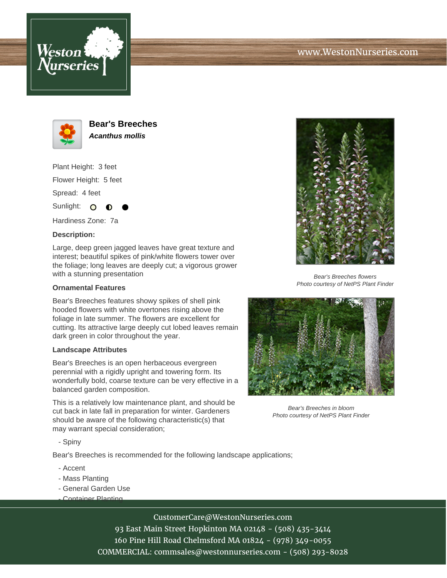



**Bear's Breeches Acanthus mollis**

Plant Height: 3 feet Flower Height: 5 feet Spread: 4 feet

Sunlight:  $\mathbf{O}$ 

Hardiness Zone: 7a

## **Description:**

Large, deep green jagged leaves have great texture and interest; beautiful spikes of pink/white flowers tower over the foliage; long leaves are deeply cut; a vigorous grower with a stunning presentation

## **Ornamental Features**

Bear's Breeches features showy spikes of shell pink hooded flowers with white overtones rising above the foliage in late summer. The flowers are excellent for cutting. Its attractive large deeply cut lobed leaves remain dark green in color throughout the year.

## **Landscape Attributes**

Bear's Breeches is an open herbaceous evergreen perennial with a rigidly upright and towering form. Its wonderfully bold, coarse texture can be very effective in a balanced garden composition.

This is a relatively low maintenance plant, and should be cut back in late fall in preparation for winter. Gardeners should be aware of the following characteristic(s) that may warrant special consideration;



Bear's Breeches flowers Photo courtesy of NetPS Plant Finder



Bear's Breeches in bloom Photo courtesy of NetPS Plant Finder

- Spiny

Bear's Breeches is recommended for the following landscape applications;

- Accent
- Mass Planting
- General Garden Use
- Container Planting

CustomerCare@WestonNurseries.com

93 East Main Street Hopkinton MA 02148 - (508) 435-3414 160 Pine Hill Road Chelmsford MA 01824 - (978) 349-0055 COMMERCIAL: commsales@westonnurseries.com - (508) 293-8028